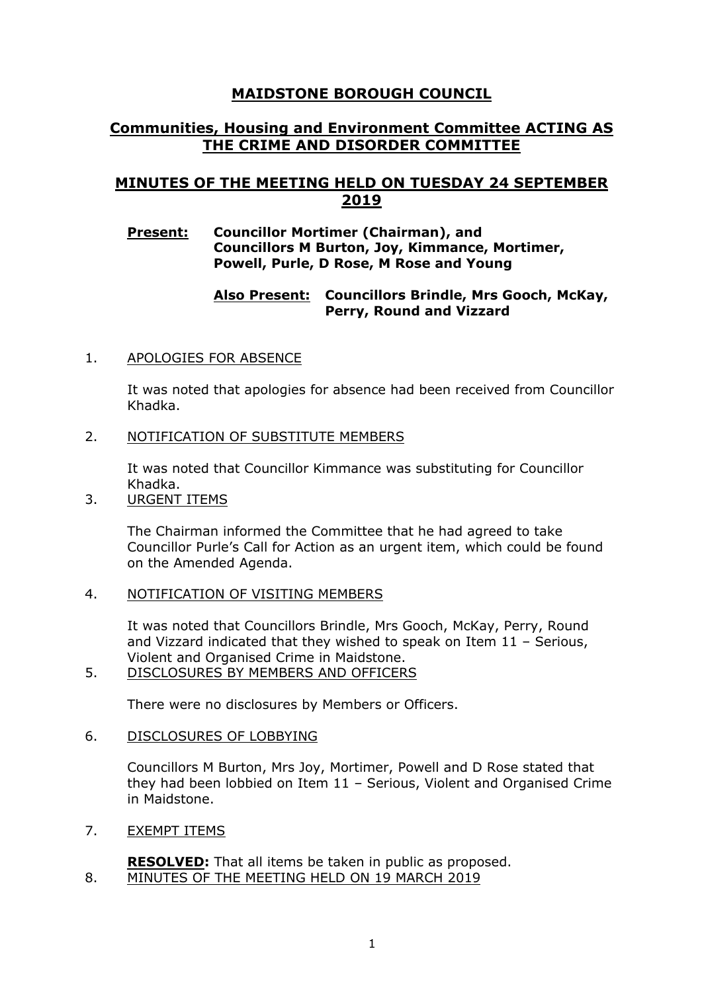# **MAIDSTONE BOROUGH COUNCIL**

# **Communities, Housing and Environment Committee ACTING AS THE CRIME AND DISORDER COMMITTEE**

# **MINUTES OF THE MEETING HELD ON TUESDAY 24 SEPTEMBER 2019**

## **Present: Councillor Mortimer (Chairman), and Councillors M Burton, Joy, Kimmance, Mortimer, Powell, Purle, D Rose, M Rose and Young**

# **Also Present: Councillors Brindle, Mrs Gooch, McKay, Perry, Round and Vizzard**

## 1. APOLOGIES FOR ABSENCE

It was noted that apologies for absence had been received from Councillor Khadka.

### 2. NOTIFICATION OF SUBSTITUTE MEMBERS

It was noted that Councillor Kimmance was substituting for Councillor Khadka.

3. URGENT ITEMS

The Chairman informed the Committee that he had agreed to take Councillor Purle's Call for Action as an urgent item, which could be found on the Amended Agenda.

# 4. NOTIFICATION OF VISITING MEMBERS

It was noted that Councillors Brindle, Mrs Gooch, McKay, Perry, Round and Vizzard indicated that they wished to speak on Item 11 – Serious, Violent and Organised Crime in Maidstone.

5. DISCLOSURES BY MEMBERS AND OFFICERS

There were no disclosures by Members or Officers.

### 6. DISCLOSURES OF LOBBYING

Councillors M Burton, Mrs Joy, Mortimer, Powell and D Rose stated that they had been lobbied on Item 11 – Serious, Violent and Organised Crime in Maidstone.

7. EXEMPT ITEMS

**RESOLVED:** That all items be taken in public as proposed. 8. MINUTES OF THE MEETING HELD ON 19 MARCH 2019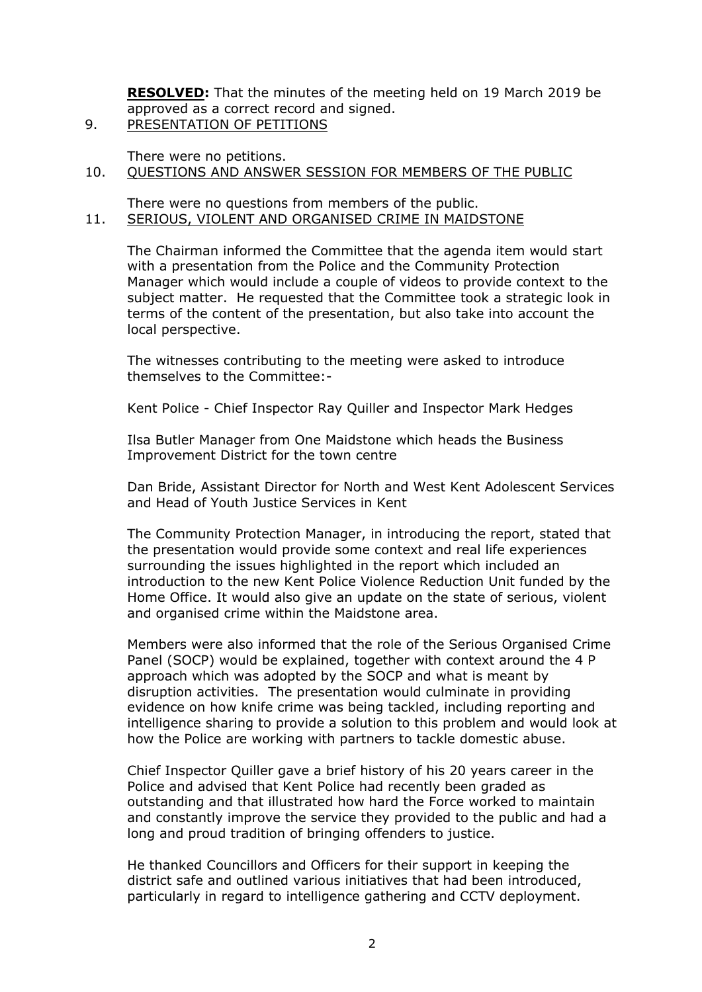**RESOLVED:** That the minutes of the meeting held on 19 March 2019 be approved as a correct record and signed. 9. PRESENTATION OF PETITIONS

- There were no petitions.
- 10. QUESTIONS AND ANSWER SESSION FOR MEMBERS OF THE PUBLIC

### There were no questions from members of the public. 11. SERIOUS, VIOLENT AND ORGANISED CRIME IN MAIDSTONE

The Chairman informed the Committee that the agenda item would start with a presentation from the Police and the Community Protection Manager which would include a couple of videos to provide context to the subject matter. He requested that the Committee took a strategic look in terms of the content of the presentation, but also take into account the local perspective.

The witnesses contributing to the meeting were asked to introduce themselves to the Committee:-

Kent Police - Chief Inspector Ray Quiller and Inspector Mark Hedges

Ilsa Butler Manager from One Maidstone which heads the Business Improvement District for the town centre

Dan Bride, Assistant Director for North and West Kent Adolescent Services and Head of Youth Justice Services in Kent

The Community Protection Manager, in introducing the report, stated that the presentation would provide some context and real life experiences surrounding the issues highlighted in the report which included an introduction to the new Kent Police Violence Reduction Unit funded by the Home Office. It would also give an update on the state of serious, violent and organised crime within the Maidstone area.

Members were also informed that the role of the Serious Organised Crime Panel (SOCP) would be explained, together with context around the 4 P approach which was adopted by the SOCP and what is meant by disruption activities. The presentation would culminate in providing evidence on how knife crime was being tackled, including reporting and intelligence sharing to provide a solution to this problem and would look at how the Police are working with partners to tackle domestic abuse.

Chief Inspector Quiller gave a brief history of his 20 years career in the Police and advised that Kent Police had recently been graded as outstanding and that illustrated how hard the Force worked to maintain and constantly improve the service they provided to the public and had a long and proud tradition of bringing offenders to justice.

He thanked Councillors and Officers for their support in keeping the district safe and outlined various initiatives that had been introduced, particularly in regard to intelligence gathering and CCTV deployment.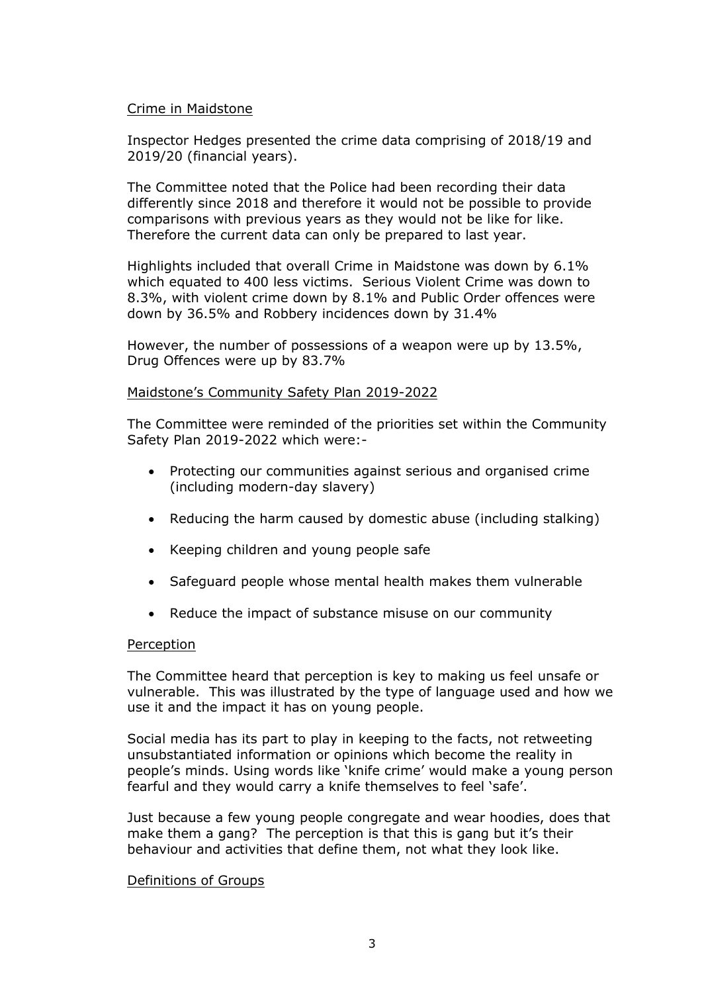### Crime in Maidstone

Inspector Hedges presented the crime data comprising of 2018/19 and 2019/20 (financial years).

The Committee noted that the Police had been recording their data differently since 2018 and therefore it would not be possible to provide comparisons with previous years as they would not be like for like. Therefore the current data can only be prepared to last year.

Highlights included that overall Crime in Maidstone was down by 6.1% which equated to 400 less victims. Serious Violent Crime was down to 8.3%, with violent crime down by 8.1% and Public Order offences were down by 36.5% and Robbery incidences down by 31.4%

However, the number of possessions of a weapon were up by 13.5%, Drug Offences were up by 83.7%

### Maidstone's Community Safety Plan 2019-2022

The Committee were reminded of the priorities set within the Community Safety Plan 2019-2022 which were:-

- Protecting our communities against serious and organised crime (including modern-day slavery)
- Reducing the harm caused by domestic abuse (including stalking)
- Keeping children and young people safe
- Safeguard people whose mental health makes them vulnerable
- Reduce the impact of substance misuse on our community

### Perception

The Committee heard that perception is key to making us feel unsafe or vulnerable. This was illustrated by the type of language used and how we use it and the impact it has on young people.

Social media has its part to play in keeping to the facts, not retweeting unsubstantiated information or opinions which become the reality in people's minds. Using words like 'knife crime' would make a young person fearful and they would carry a knife themselves to feel 'safe'.

Just because a few young people congregate and wear hoodies, does that make them a gang? The perception is that this is gang but it's their behaviour and activities that define them, not what they look like.

### Definitions of Groups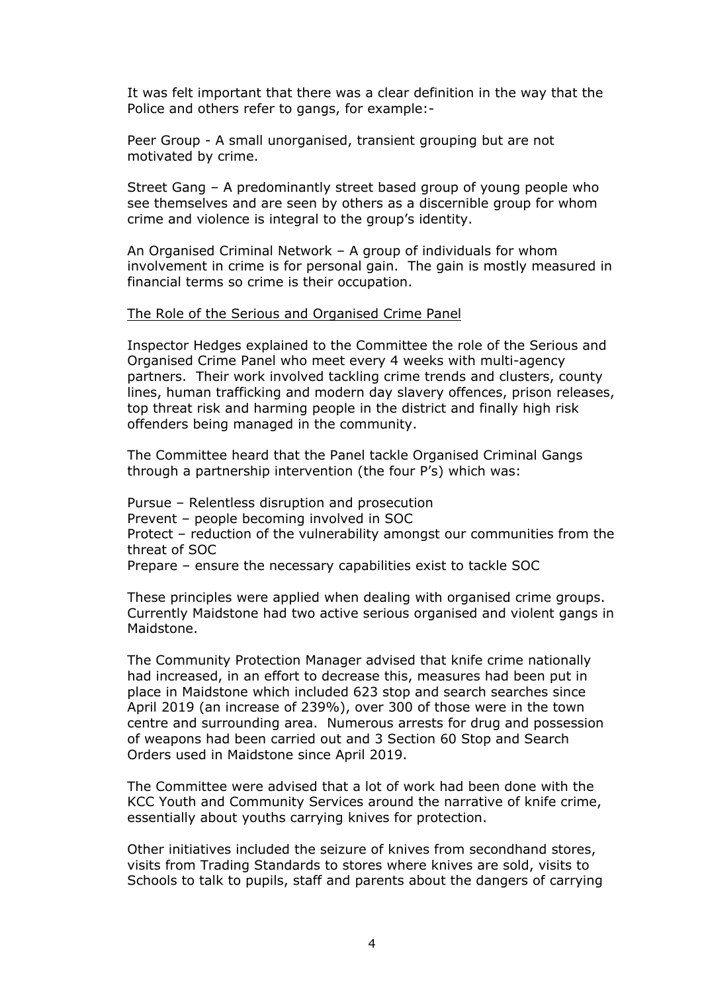It was felt important that there was a clear definition in the way that the Police and others refer to gangs, for example:-

Peer Group - A small unorganised, transient grouping but are not motivated by crime.

Street Gang – A predominantly street based group of young people who see themselves and are seen by others as a discernible group for whom crime and violence is integral to the group's identity.

An Organised Criminal Network – A group of individuals for whom involvement in crime is for personal gain. The gain is mostly measured in financial terms so crime is their occupation.

#### The Role of the Serious and Organised Crime Panel

Inspector Hedges explained to the Committee the role of the Serious and Organised Crime Panel who meet every 4 weeks with multi-agency partners. Their work involved tackling crime trends and clusters, county lines, human trafficking and modern day slavery offences, prison releases, top threat risk and harming people in the district and finally high risk offenders being managed in the community.

The Committee heard that the Panel tackle Organised Criminal Gangs through a partnership intervention (the four P's) which was:

Pursue – Relentless disruption and prosecution Prevent – people becoming involved in SOC Protect – reduction of the vulnerability amongst our communities from the threat of SOC Prepare – ensure the necessary capabilities exist to tackle SOC

These principles were applied when dealing with organised crime groups. Currently Maidstone had two active serious organised and violent gangs in Maidstone.

The Community Protection Manager advised that knife crime nationally had increased, in an effort to decrease this, measures had been put in place in Maidstone which included 623 stop and search searches since April 2019 (an increase of 239%), over 300 of those were in the town centre and surrounding area. Numerous arrests for drug and possession of weapons had been carried out and 3 Section 60 Stop and Search Orders used in Maidstone since April 2019.

The Committee were advised that a lot of work had been done with the KCC Youth and Community Services around the narrative of knife crime, essentially about youths carrying knives for protection.

Other initiatives included the seizure of knives from secondhand stores, visits from Trading Standards to stores where knives are sold, visits to Schools to talk to pupils, staff and parents about the dangers of carrying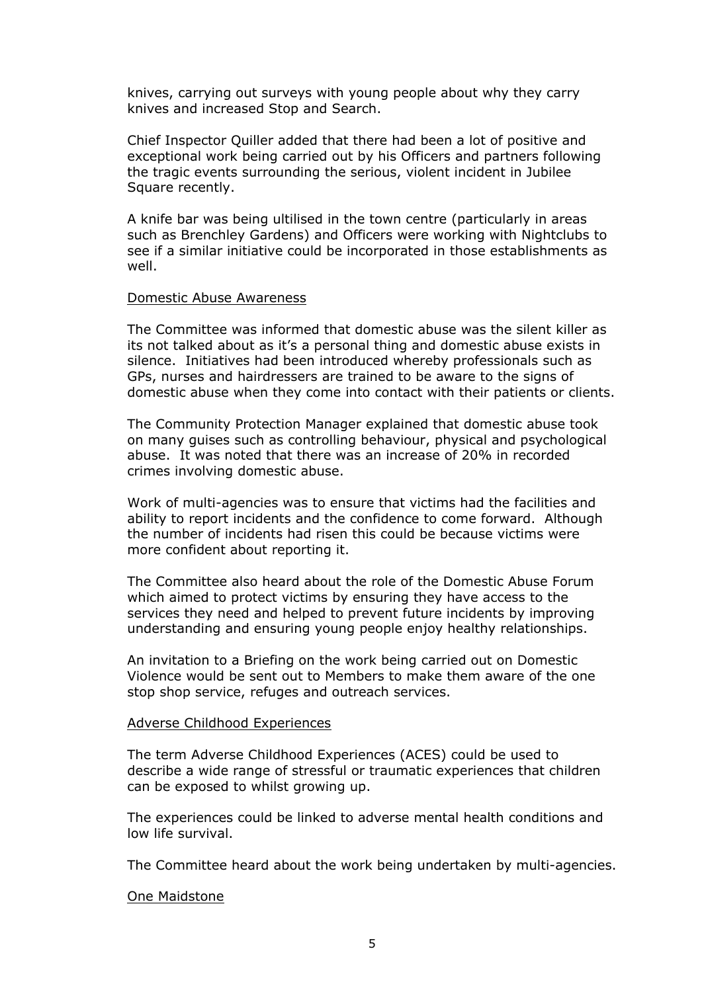knives, carrying out surveys with young people about why they carry knives and increased Stop and Search.

Chief Inspector Quiller added that there had been a lot of positive and exceptional work being carried out by his Officers and partners following the tragic events surrounding the serious, violent incident in Jubilee Square recently.

A knife bar was being ultilised in the town centre (particularly in areas such as Brenchley Gardens) and Officers were working with Nightclubs to see if a similar initiative could be incorporated in those establishments as well.

#### Domestic Abuse Awareness

The Committee was informed that domestic abuse was the silent killer as its not talked about as it's a personal thing and domestic abuse exists in silence. Initiatives had been introduced whereby professionals such as GPs, nurses and hairdressers are trained to be aware to the signs of domestic abuse when they come into contact with their patients or clients.

The Community Protection Manager explained that domestic abuse took on many guises such as controlling behaviour, physical and psychological abuse. It was noted that there was an increase of 20% in recorded crimes involving domestic abuse.

Work of multi-agencies was to ensure that victims had the facilities and ability to report incidents and the confidence to come forward. Although the number of incidents had risen this could be because victims were more confident about reporting it.

The Committee also heard about the role of the Domestic Abuse Forum which aimed to protect victims by ensuring they have access to the services they need and helped to prevent future incidents by improving understanding and ensuring young people enjoy healthy relationships.

An invitation to a Briefing on the work being carried out on Domestic Violence would be sent out to Members to make them aware of the one stop shop service, refuges and outreach services.

#### Adverse Childhood Experiences

The term Adverse Childhood Experiences (ACES) could be used to describe a wide range of stressful or traumatic experiences that children can be exposed to whilst growing up.

The experiences could be linked to adverse mental health conditions and low life survival.

The Committee heard about the work being undertaken by multi-agencies.

#### One Maidstone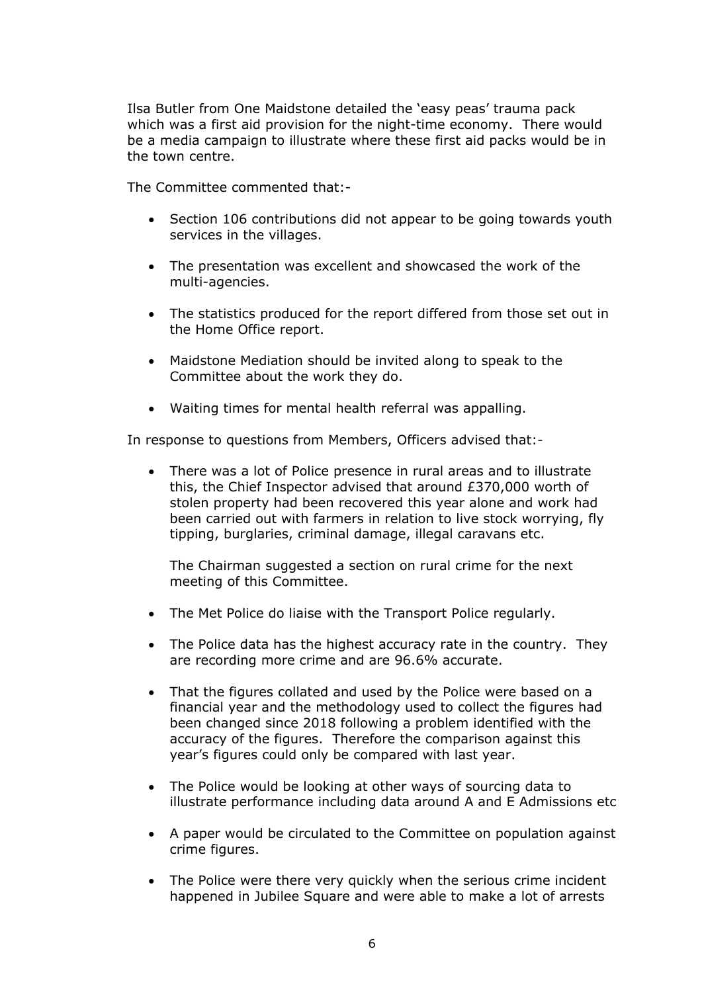Ilsa Butler from One Maidstone detailed the 'easy peas' trauma pack which was a first aid provision for the night-time economy. There would be a media campaign to illustrate where these first aid packs would be in the town centre.

The Committee commented that:-

- Section 106 contributions did not appear to be going towards youth services in the villages.
- The presentation was excellent and showcased the work of the multi-agencies.
- The statistics produced for the report differed from those set out in the Home Office report.
- Maidstone Mediation should be invited along to speak to the Committee about the work they do.
- Waiting times for mental health referral was appalling.

In response to questions from Members, Officers advised that:-

 There was a lot of Police presence in rural areas and to illustrate this, the Chief Inspector advised that around £370,000 worth of stolen property had been recovered this year alone and work had been carried out with farmers in relation to live stock worrying, fly tipping, burglaries, criminal damage, illegal caravans etc.

The Chairman suggested a section on rural crime for the next meeting of this Committee.

- The Met Police do liaise with the Transport Police regularly.
- The Police data has the highest accuracy rate in the country. They are recording more crime and are 96.6% accurate.
- That the figures collated and used by the Police were based on a financial year and the methodology used to collect the figures had been changed since 2018 following a problem identified with the accuracy of the figures. Therefore the comparison against this year's figures could only be compared with last year.
- The Police would be looking at other ways of sourcing data to illustrate performance including data around A and E Admissions etc
- A paper would be circulated to the Committee on population against crime figures.
- The Police were there very quickly when the serious crime incident happened in Jubilee Square and were able to make a lot of arrests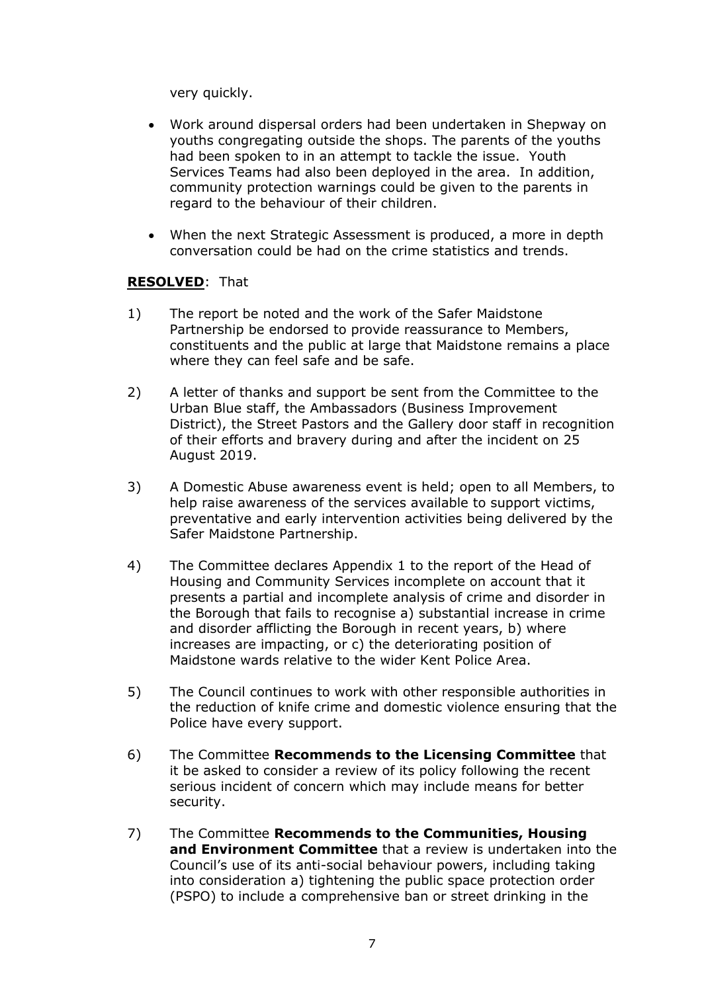very quickly.

- Work around dispersal orders had been undertaken in Shepway on youths congregating outside the shops. The parents of the youths had been spoken to in an attempt to tackle the issue. Youth Services Teams had also been deployed in the area. In addition, community protection warnings could be given to the parents in regard to the behaviour of their children.
- When the next Strategic Assessment is produced, a more in depth conversation could be had on the crime statistics and trends.

## **RESOLVED**: That

- 1) The report be noted and the work of the Safer Maidstone Partnership be endorsed to provide reassurance to Members, constituents and the public at large that Maidstone remains a place where they can feel safe and be safe.
- 2) A letter of thanks and support be sent from the Committee to the Urban Blue staff, the Ambassadors (Business Improvement District), the Street Pastors and the Gallery door staff in recognition of their efforts and bravery during and after the incident on 25 August 2019.
- 3) A Domestic Abuse awareness event is held; open to all Members, to help raise awareness of the services available to support victims, preventative and early intervention activities being delivered by the Safer Maidstone Partnership.
- 4) The Committee declares Appendix 1 to the report of the Head of Housing and Community Services incomplete on account that it presents a partial and incomplete analysis of crime and disorder in the Borough that fails to recognise a) substantial increase in crime and disorder afflicting the Borough in recent years, b) where increases are impacting, or c) the deteriorating position of Maidstone wards relative to the wider Kent Police Area.
- 5) The Council continues to work with other responsible authorities in the reduction of knife crime and domestic violence ensuring that the Police have every support.
- 6) The Committee **Recommends to the Licensing Committee** that it be asked to consider a review of its policy following the recent serious incident of concern which may include means for better security.
- 7) The Committee **Recommends to the Communities, Housing and Environment Committee** that a review is undertaken into the Council's use of its anti-social behaviour powers, including taking into consideration a) tightening the public space protection order (PSPO) to include a comprehensive ban or street drinking in the